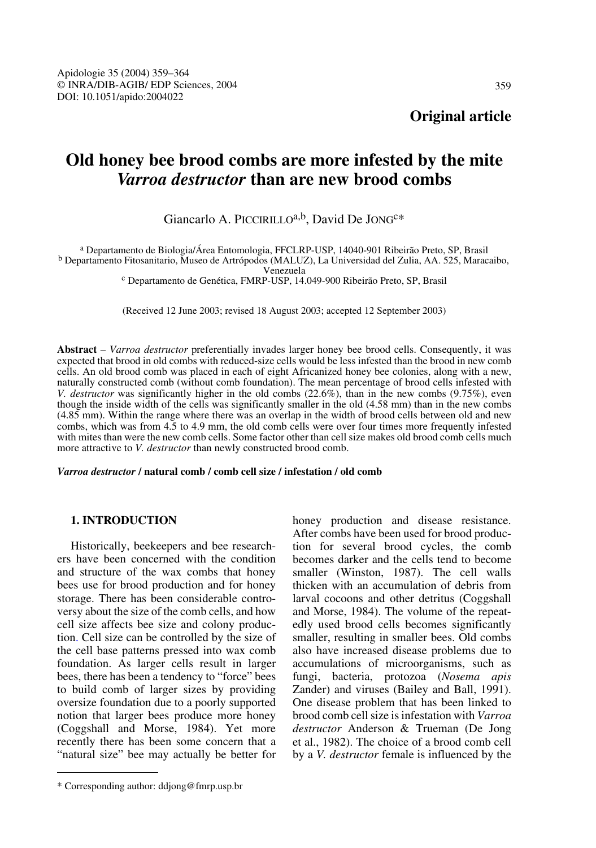# **Old honey bee brood combs are more infested by the mite**  *Varroa destructor* **than are new brood combs**

# Giancarlo A. PICCIRILLOa,b, David De JONGC\*

a Departamento de Biologia/Área Entomologia, FFCLRP-USP, 14040-901 Ribeirão Preto, SP, Brasil b Departamento Fitosanitario, Museo de Artrópodos (MALUZ), La Universidad del Zulia, AA. 525, Maracaibo,

<sup>c</sup> Departamento de Genética, FMRP-USP, 14.049-900 Ribeirão Preto, SP, Brasil

(Received 12 June 2003; revised 18 August 2003; accepted 12 September 2003)

**Abstract** – *Varroa destructor* preferentially invades larger honey bee brood cells. Consequently, it was expected that brood in old combs with reduced-size cells would be less infested than the brood in new comb cells. An old brood comb was placed in each of eight Africanized honey bee colonies, along with a new, naturally constructed comb (without comb foundation). The mean percentage of brood cells infested with *V. destructor* was significantly higher in the old combs (22.6%), than in the new combs (9.75%), even though the inside width of the cells was significantly smaller in the old (4.58 mm) than in the new combs (4.85 mm). Within the range where there was an overlap in the width of brood cells between old and new combs, which was from 4.5 to 4.9 mm, the old comb cells were over four times more frequently infested with mites than were the new comb cells. Some factor other than cell size makes old brood comb cells much more attractive to *V. destructor* than newly constructed brood comb.

*Varroa destructor* **/ natural comb / comb cell size / infestation / old comb**

## **1. INTRODUCTION**

Historically, beekeepers and bee researchers have been concerned with the condition and structure of the wax combs that honey bees use for brood production and for honey storage. There has been considerable controversy about the size of the comb cells, and how cell size affects bee size and colony production. Cell size can be controlled by the size of the cell base patterns pressed into wax comb foundation. As larger cells result in larger bees, there has been a tendency to "force" bees to build comb of larger sizes by providing oversize foundation due to a poorly supported notion that larger bees produce more honey (Coggshall and Morse, 1984). Yet more recently there has been some concern that a "natural size" bee may actually be better for honey production and disease resistance. After combs have been used for brood production for several brood cycles, the comb becomes darker and the cells tend to become smaller (Winston, 1987). The cell walls thicken with an accumulation of debris from larval cocoons and other detritus (Coggshall and Morse, 1984). The volume of the repeatedly used brood cells becomes significantly smaller, resulting in smaller bees. Old combs also have increased disease problems due to accumulations of microorganisms, such as fungi, bacteria, protozoa (*Nosema apis* Zander) and viruses (Bailey and Ball, 1991). One disease problem that has been linked to brood comb cell size is infestation with *Varroa destructor* Anderson & Trueman (De Jong et al., 1982). The choice of a brood comb cell by a *V. destructor* female is influenced by the

<sup>\*</sup> Corresponding author: ddjong@fmrp.usp.br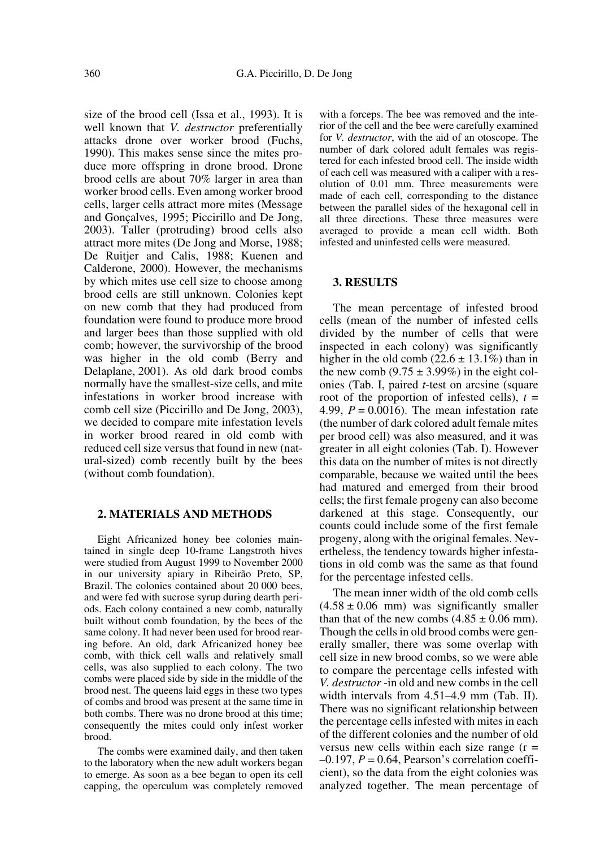size of the brood cell (Issa et al., 1993). It is well known that *V. destructor* preferentially attacks drone over worker brood (Fuchs, 1990). This makes sense since the mites produce more offspring in drone brood. Drone brood cells are about 70% larger in area than worker brood cells. Even among worker brood cells, larger cells attract more mites (Message and Gonçalves, 1995; Piccirillo and De Jong, 2003). Taller (protruding) brood cells also attract more mites (De Jong and Morse, 1988; De Ruitjer and Calis, 1988; Kuenen and Calderone, 2000). However, the mechanisms by which mites use cell size to choose among brood cells are still unknown. Colonies kept on new comb that they had produced from foundation were found to produce more brood and larger bees than those supplied with old comb; however, the survivorship of the brood was higher in the old comb (Berry and Delaplane, 2001). As old dark brood combs normally have the smallest-size cells, and mite infestations in worker brood increase with comb cell size (Piccirillo and De Jong, 2003), we decided to compare mite infestation levels in worker brood reared in old comb with reduced cell size versus that found in new (natural-sized) comb recently built by the bees (without comb foundation).

#### **2. MATERIALS AND METHODS**

Eight Africanized honey bee colonies maintained in single deep 10-frame Langstroth hives were studied from August 1999 to November 2000 in our university apiary in Ribeirão Preto, SP, Brazil. The colonies contained about 20 000 bees, and were fed with sucrose syrup during dearth periods. Each colony contained a new comb, naturally built without comb foundation, by the bees of the same colony. It had never been used for brood rearing before. An old, dark Africanized honey bee comb, with thick cell walls and relatively small cells, was also supplied to each colony. The two combs were placed side by side in the middle of the brood nest. The queens laid eggs in these two types of combs and brood was present at the same time in both combs. There was no drone brood at this time; consequently the mites could only infest worker brood.

The combs were examined daily, and then taken to the laboratory when the new adult workers began to emerge. As soon as a bee began to open its cell capping, the operculum was completely removed with a forceps. The bee was removed and the interior of the cell and the bee were carefully examined for *V. destructor*, with the aid of an otoscope. The number of dark colored adult females was registered for each infested brood cell. The inside width of each cell was measured with a caliper with a resolution of 0.01 mm. Three measurements were made of each cell, corresponding to the distance between the parallel sides of the hexagonal cell in all three directions. These three measures were averaged to provide a mean cell width. Both infested and uninfested cells were measured.

#### **3. RESULTS**

The mean percentage of infested brood cells (mean of the number of infested cells divided by the number of cells that were inspected in each colony) was significantly higher in the old comb  $(22.6 \pm 13.1\%)$  than in the new comb  $(9.75 \pm 3.99\%)$  in the eight colonies (Tab. I, paired *t*-test on arcsine (square root of the proportion of infested cells),  $t =$ 4.99,  $P = 0.0016$ . The mean infestation rate (the number of dark colored adult female mites per brood cell) was also measured, and it was greater in all eight colonies (Tab. I). However this data on the number of mites is not directly comparable, because we waited until the bees had matured and emerged from their brood cells; the first female progeny can also become darkened at this stage. Consequently, our counts could include some of the first female progeny, along with the original females. Nevertheless, the tendency towards higher infestations in old comb was the same as that found for the percentage infested cells.

The mean inner width of the old comb cells  $(4.58 \pm 0.06$  mm) was significantly smaller than that of the new combs  $(4.85 \pm 0.06 \text{ mm})$ . Though the cells in old brood combs were generally smaller, there was some overlap with cell size in new brood combs, so we were able to compare the percentage cells infested with *V. destructor* -in old and new combs in the cell width intervals from 4.51–4.9 mm (Tab. II). There was no significant relationship between the percentage cells infested with mites in each of the different colonies and the number of old versus new cells within each size range  $(r =$  $-0.197$ ,  $P = 0.64$ , Pearson's correlation coefficient), so the data from the eight colonies was analyzed together. The mean percentage of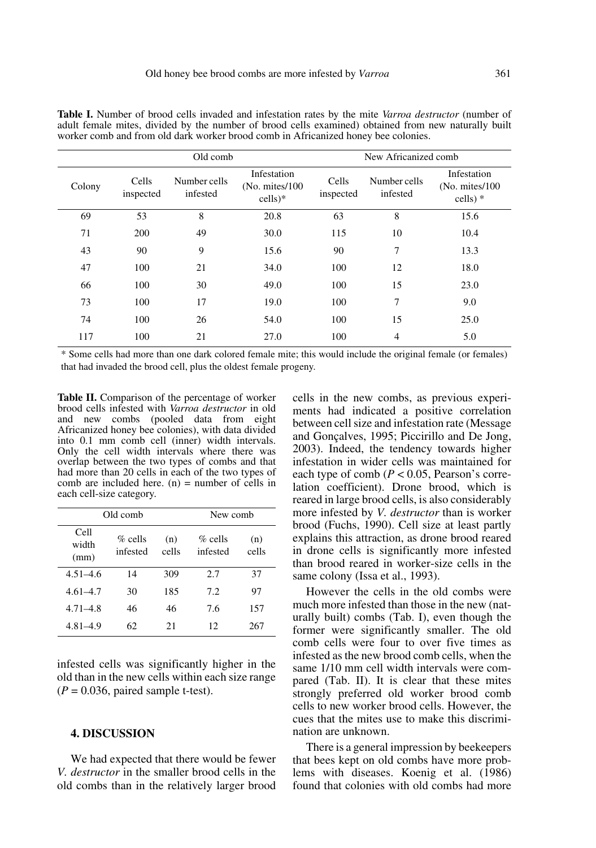|        |                    | Old comb                 |                                             | New Africanized comb |                          |                                              |
|--------|--------------------|--------------------------|---------------------------------------------|----------------------|--------------------------|----------------------------------------------|
| Colony | Cells<br>inspected | Number cells<br>infested | Infestation<br>(No. mites/100)<br>$cells)*$ | Cells<br>inspected   | Number cells<br>infested | Infestation<br>(No. mites/100)<br>$cells)$ * |
| 69     | 53                 | 8                        | 20.8                                        | 63                   | 8                        | 15.6                                         |
| 71     | 200                | 49                       | 30.0                                        | 115                  | 10                       | 10.4                                         |
| 43     | 90                 | 9                        | 15.6                                        | 90                   | 7                        | 13.3                                         |
| 47     | 100                | 21                       | 34.0                                        | 100                  | 12                       | 18.0                                         |
| 66     | 100                | 30                       | 49.0                                        | 100                  | 15                       | 23.0                                         |
| 73     | 100                | 17                       | 19.0                                        | 100                  | 7                        | 9.0                                          |
| 74     | 100                | 26                       | 54.0                                        | 100                  | 15                       | 25.0                                         |
| 117    | 100                | 21                       | 27.0                                        | 100                  | 4                        | 5.0                                          |

**Table I.** Number of brood cells invaded and infestation rates by the mite *Varroa destructor* (number of adult female mites, divided by the number of brood cells examined) obtained from new naturally built worker comb and from old dark worker brood comb in Africanized honey bee colonies.

\* Some cells had more than one dark colored female mite; this would include the original female (or females) that had invaded the brood cell, plus the oldest female progeny.

**Table II.** Comparison of the percentage of worker brood cells infested with *Varroa destructor* in old and new combs (pooled data from eight Africanized honey bee colonies), with data divided into 0.1 mm comb cell (inner) width intervals. Only the cell width intervals where there was overlap between the two types of combs and that had more than 20 cells in each of the two types of comb are included here.  $(n)$  = number of cells in each cell-size category.

|                       | Old comb               | New comb     |                        |              |
|-----------------------|------------------------|--------------|------------------------|--------------|
| Cell<br>width<br>(mm) | $\%$ cells<br>infested | (n)<br>cells | $\%$ cells<br>infested | (n)<br>cells |
| $4.51 - 4.6$          | 14                     | 309          | 2.7                    | 37           |
| $4.61 - 4.7$          | 30                     | 185          | 7.2                    | 97           |
| $4.71 - 4.8$          | 46                     | 46           | 7.6                    | 157          |
| $4,81-4.9$            | 62                     | 21           | 12                     | 267          |

infested cells was significantly higher in the old than in the new cells within each size range  $(P = 0.036$ , paired sample t-test).

#### **4. DISCUSSION**

We had expected that there would be fewer *V. destructor* in the smaller brood cells in the old combs than in the relatively larger brood cells in the new combs, as previous experiments had indicated a positive correlation between cell size and infestation rate (Message and Gonçalves, 1995; Piccirillo and De Jong, 2003). Indeed, the tendency towards higher infestation in wider cells was maintained for each type of comb (*P* < 0.05, Pearson's correlation coefficient). Drone brood, which is reared in large brood cells, is also considerably more infested by *V. destructor* than is worker brood (Fuchs, 1990). Cell size at least partly explains this attraction, as drone brood reared in drone cells is significantly more infested than brood reared in worker-size cells in the same colony (Issa et al., 1993).

However the cells in the old combs were much more infested than those in the new (naturally built) combs (Tab. I), even though the former were significantly smaller. The old comb cells were four to over five times as infested as the new brood comb cells, when the same 1/10 mm cell width intervals were compared (Tab. II). It is clear that these mites strongly preferred old worker brood comb cells to new worker brood cells. However, the cues that the mites use to make this discrimination are unknown.

There is a general impression by beekeepers that bees kept on old combs have more problems with diseases. Koenig et al. (1986) found that colonies with old combs had more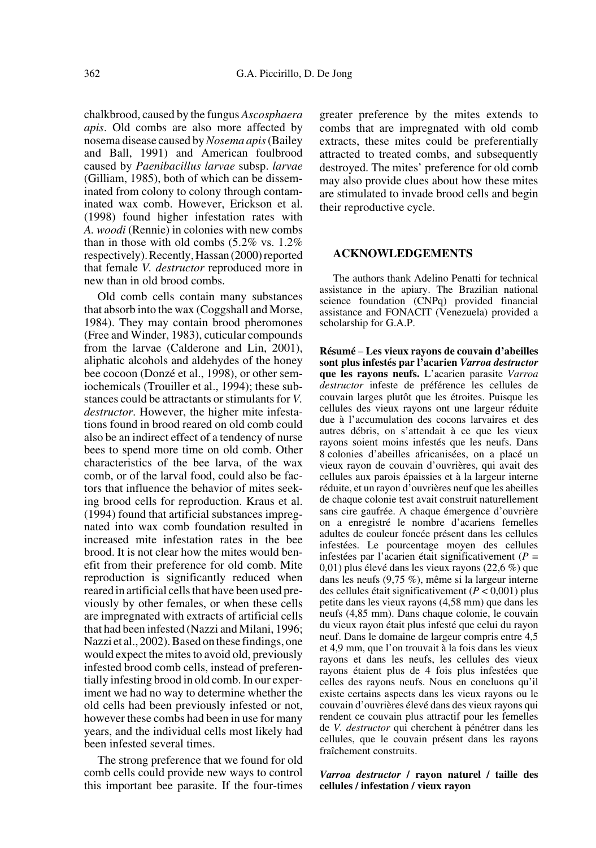chalkbrood, caused by the fungus *Ascosphaera apis*. Old combs are also more affected by nosema disease caused by *Nosema apis* (Bailey and Ball, 1991) and American foulbrood caused by *Paenibacillus larvae* subsp. *larvae* (Gilliam, 1985), both of which can be disseminated from colony to colony through contaminated wax comb. However, Erickson et al. (1998) found higher infestation rates with *A. woodi* (Rennie) in colonies with new combs than in those with old combs (5.2% vs. 1.2% respectively). Recently, Hassan (2000) reported that female *V. destructor* reproduced more in new than in old brood combs.

Old comb cells contain many substances that absorb into the wax (Coggshall and Morse, 1984). They may contain brood pheromones (Free and Winder, 1983), cuticular compounds from the larvae (Calderone and Lin, 2001), aliphatic alcohols and aldehydes of the honey bee cocoon (Donzé et al., 1998), or other semiochemicals (Trouiller et al., 1994); these substances could be attractants or stimulants for *V. destructor*. However, the higher mite infestations found in brood reared on old comb could also be an indirect effect of a tendency of nurse bees to spend more time on old comb. Other characteristics of the bee larva, of the wax comb, or of the larval food, could also be factors that influence the behavior of mites seeking brood cells for reproduction. Kraus et al. (1994) found that artificial substances impregnated into wax comb foundation resulted in increased mite infestation rates in the bee brood. It is not clear how the mites would benefit from their preference for old comb. Mite reproduction is significantly reduced when reared in artificial cells that have been used previously by other females, or when these cells are impregnated with extracts of artificial cells that had been infested (Nazzi and Milani, 1996; Nazzi et al., 2002). Based on these findings, one would expect the mites to avoid old, previously infested brood comb cells, instead of preferentially infesting brood in old comb. In our experiment we had no way to determine whether the old cells had been previously infested or not, however these combs had been in use for many years, and the individual cells most likely had been infested several times.

The strong preference that we found for old comb cells could provide new ways to control this important bee parasite. If the four-times greater preference by the mites extends to combs that are impregnated with old comb extracts, these mites could be preferentially attracted to treated combs, and subsequently destroyed. The mites' preference for old comb may also provide clues about how these mites are stimulated to invade brood cells and begin their reproductive cycle.

### **ACKNOWLEDGEMENTS**

The authors thank Adelino Penatti for technical assistance in the apiary. The Brazilian national science foundation (CNPq) provided financial assistance and FONACIT (Venezuela) provided a scholarship for G.A.P.

**Résumé** – **Les vieux rayons de couvain d'abeilles sont plus infestés par l'acarien** *Varroa destructor* **que les rayons neufs.** L'acarien parasite *Varroa destructor* infeste de préférence les cellules de couvain larges plutôt que les étroites. Puisque les cellules des vieux rayons ont une largeur réduite due à l'accumulation des cocons larvaires et des autres débris, on s'attendait à ce que les vieux rayons soient moins infestés que les neufs. Dans 8 colonies d'abeilles africanisées, on a placé un vieux rayon de couvain d'ouvrières, qui avait des cellules aux parois épaissies et à la largeur interne réduite, et un rayon d'ouvrières neuf que les abeilles de chaque colonie test avait construit naturellement sans cire gaufrée. A chaque émergence d'ouvrière on a enregistré le nombre d'acariens femelles adultes de couleur foncée présent dans les cellules infestées. Le pourcentage moyen des cellules infestées par l'acarien était significativement (*P* = 0,01) plus élevé dans les vieux rayons (22,6 %) que dans les neufs (9,75 %), même si la largeur interne des cellules était significativement (*P* < 0,001) plus petite dans les vieux rayons (4,58 mm) que dans les neufs (4,85 mm). Dans chaque colonie, le couvain du vieux rayon était plus infesté que celui du rayon neuf. Dans le domaine de largeur compris entre 4,5 et 4,9 mm, que l'on trouvait à la fois dans les vieux rayons et dans les neufs, les cellules des vieux rayons étaient plus de 4 fois plus infestées que celles des rayons neufs. Nous en concluons qu'il existe certains aspects dans les vieux rayons ou le couvain d'ouvrières élevé dans des vieux rayons qui rendent ce couvain plus attractif pour les femelles de *V. destructor* qui cherchent à pénétrer dans les cellules, que le couvain présent dans les rayons fraîchement construits.

*Varroa destructor* **/ rayon naturel / taille des cellules / infestation / vieux rayon**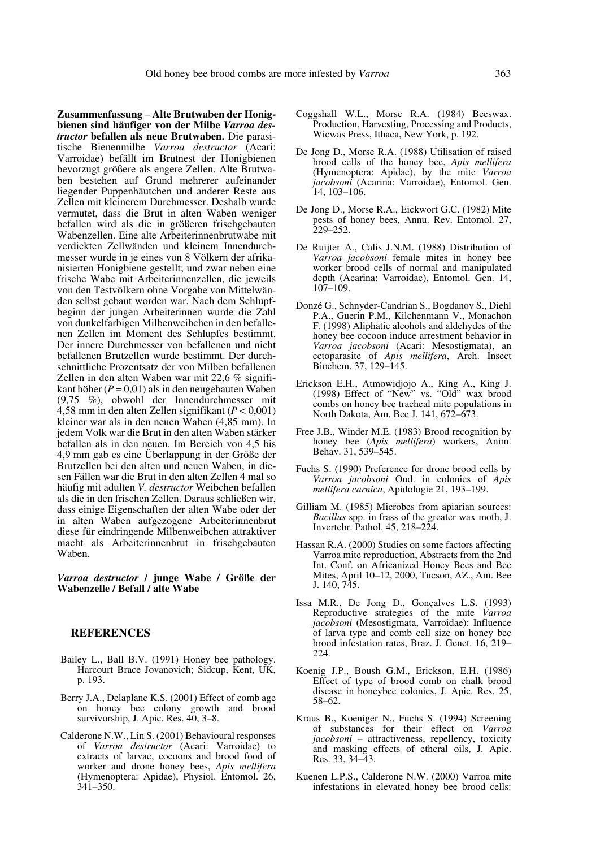**Zusammenfassung** – **Alte Brutwaben der Honigbienen sind häufiger von der Milbe** *Varroa destructor* **befallen als neue Brutwaben.** Die parasitische Bienenmilbe *Varroa destructor* (Acari: Varroidae) befällt im Brutnest der Honigbienen bevorzugt größere als engere Zellen. Alte Brutwaben bestehen auf Grund mehrerer aufeinander liegender Puppenhäutchen und anderer Reste aus Zellen mit kleinerem Durchmesser. Deshalb wurde vermutet, dass die Brut in alten Waben weniger befallen wird als die in größeren frischgebauten Wabenzellen. Eine alte Arbeiterinnenbrutwabe mit verdickten Zellwänden und kleinem Innendurchmesser wurde in je eines von 8 Völkern der afrikanisierten Honigbiene gestellt; und zwar neben eine frische Wabe mit Arbeiterinnenzellen, die jeweils von den Testvölkern ohne Vorgabe von Mittelwänden selbst gebaut worden war. Nach dem Schlupfbeginn der jungen Arbeiterinnen wurde die Zahl von dunkelfarbigen Milbenweibchen in den befallenen Zellen im Moment des Schlupfes bestimmt. Der innere Durchmesser von befallenen und nicht befallenen Brutzellen wurde bestimmt. Der durchschnittliche Prozentsatz der von Milben befallenen Zellen in den alten Waben war mit 22,6 % signifikant höher (*P* = 0,01) als in den neugebauten Waben (9,75 %), obwohl der Innendurchmesser mit 4,58 mm in den alten Zellen signifikant (*P* < 0,001) kleiner war als in den neuen Waben (4,85 mm). In jedem Volk war die Brut in den alten Waben stärker befallen als in den neuen. Im Bereich von 4,5 bis 4,9 mm gab es eine Überlappung in der Größe der Brutzellen bei den alten und neuen Waben, in diesen Fällen war die Brut in den alten Zellen 4 mal so häufig mit adulten *V. destructor* Weibchen befallen als die in den frischen Zellen. Daraus schließen wir, dass einige Eigenschaften der alten Wabe oder der in alten Waben aufgezogene Arbeiterinnenbrut diese für eindringende Milbenweibchen attraktiver macht als Arbeiterinnenbrut in frischgebauten Waben.

*Varroa destructor* **/ junge Wabe / Größe der Wabenzelle / Befall / alte Wabe**

#### **REFERENCES**

- Bailey L., Ball B.V. (1991) Honey bee pathology. Harcourt Brace Jovanovich; Sidcup, Kent, UK, p. 193.
- Berry J.A., Delaplane K.S. (2001) Effect of comb age on honey bee colony growth and brood survivorship, J. Apic. Res. 40, 3–8.
- Calderone N.W., Lin S. (2001) Behavioural responses of *Varroa destructor* (Acari: Varroidae) to extracts of larvae, cocoons and brood food of worker and drone honey bees, *Apis mellifera* (Hymenoptera: Apidae), Physiol. Entomol. 26, 341–350.
- Coggshall W.L., Morse R.A. (1984) Beeswax. Production, Harvesting, Processing and Products, Wicwas Press, Ithaca, New York, p. 192.
- De Jong D., Morse R.A. (1988) Utilisation of raised brood cells of the honey bee, *Apis mellifera* (Hymenoptera: Apidae), by the mite *Varroa jacobsoni* (Acarina: Varroidae), Entomol. Gen. 14, 103–106.
- De Jong D., Morse R.A., Eickwort G.C. (1982) Mite pests of honey bees, Annu. Rev. Entomol. 27, 229–252.
- De Ruijter A., Calis J.N.M. (1988) Distribution of *Varroa jacobsoni* female mites in honey bee worker brood cells of normal and manipulated depth (Acarina: Varroidae), Entomol. Gen. 14, 107–109.
- Donzé G., Schnyder-Candrian S., Bogdanov S., Diehl P.A., Guerin P.M., Kilchenmann V., Monachon F. (1998) Aliphatic alcohols and aldehydes of the honey bee cocoon induce arrestment behavior in *Varroa jacobsoni* (Acari: Mesostigmata), an ectoparasite of *Apis mellifera*, Arch. Insect Biochem. 37, 129–145.
- Erickson E.H., Atmowidjojo A., King A., King J. (1998) Effect of "New" vs. "Old" wax brood combs on honey bee tracheal mite populations in North Dakota, Am. Bee J. 141, 672–673.
- Free J.B., Winder M.E. (1983) Brood recognition by honey bee (*Apis mellifera*) workers, Anim. Behav. 31, 539–545.
- Fuchs S. (1990) Preference for drone brood cells by *Varroa jacobsoni* Oud. in colonies of *Apis mellifera carnica*, Apidologie 21, 193–199.
- Gilliam M. (1985) Microbes from apiarian sources: *Bacillus* spp. in frass of the greater wax moth, J. Invertebr. Pathol. 45, 218–224.
- Hassan R.A. (2000) Studies on some factors affecting Varroa mite reproduction, Abstracts from the 2nd Int. Conf. on Africanized Honey Bees and Bee Mites, April 10–12, 2000, Tucson, AZ., Am. Bee J. 140, 745.
- Issa M.R., De Jong D., Gonçalves L.S. (1993) Reproductive strategies of the mite *Varroa jacobsoni* (Mesostigmata, Varroidae): Influence of larva type and comb cell size on honey bee brood infestation rates, Braz. J. Genet. 16, 219– 224.
- Koenig J.P., Boush G.M., Erickson, E.H. (1986) Effect of type of brood comb on chalk brood disease in honeybee colonies, J. Apic. Res. 25, 58–62.
- Kraus B., Koeniger N., Fuchs S. (1994) Screening of substances for their effect on *Varroa jacobsoni* – attractiveness, repellency, toxicity and masking effects of etheral oils, J. Apic. Res. 33, 34–43.
- Kuenen L.P.S., Calderone N.W. (2000) Varroa mite infestations in elevated honey bee brood cells: